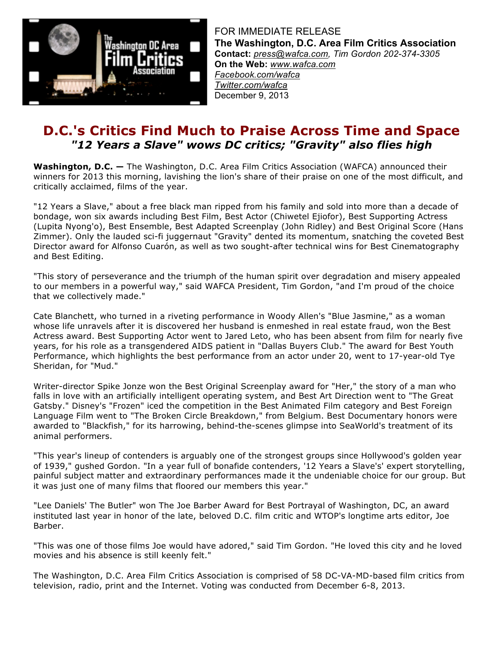

FOR IMMEDIATE RELEASE **The Washington, D.C. Area Film Critics Association Contact:** *press@wafca.com, Tim Gordon 202-374-3305* **On the Web:** *www.wafca.com Facebook.com/wafca Twitter.com/wafca* December 9, 2013

# **D.C.'s Critics Find Much to Praise Across Time and Space** *"12 Years a Slave" wows DC critics; "Gravity" also flies high*

**Washington, D.C. —** The Washington, D.C. Area Film Critics Association (WAFCA) announced their winners for 2013 this morning, lavishing the lion's share of their praise on one of the most difficult, and critically acclaimed, films of the year.

"12 Years a Slave," about a free black man ripped from his family and sold into more than a decade of bondage, won six awards including Best Film, Best Actor (Chiwetel Ejiofor), Best Supporting Actress (Lupita Nyong'o), Best Ensemble, Best Adapted Screenplay (John Ridley) and Best Original Score (Hans Zimmer). Only the lauded sci-fi juggernaut "Gravity" dented its momentum, snatching the coveted Best Director award for Alfonso Cuarón, as well as two sought-after technical wins for Best Cinematography and Best Editing.

"This story of perseverance and the triumph of the human spirit over degradation and misery appealed to our members in a powerful way," said WAFCA President, Tim Gordon, "and I'm proud of the choice that we collectively made."

Cate Blanchett, who turned in a riveting performance in Woody Allen's "Blue Jasmine," as a woman whose life unravels after it is discovered her husband is enmeshed in real estate fraud, won the Best Actress award. Best Supporting Actor went to Jared Leto, who has been absent from film for nearly five years, for his role as a transgendered AIDS patient in "Dallas Buyers Club." The award for Best Youth Performance, which highlights the best performance from an actor under 20, went to 17-year-old Tye Sheridan, for "Mud."

Writer-director Spike Jonze won the Best Original Screenplay award for "Her," the story of a man who falls in love with an artificially intelligent operating system, and Best Art Direction went to "The Great Gatsby." Disney's "Frozen" iced the competition in the Best Animated Film category and Best Foreign Language Film went to "The Broken Circle Breakdown," from Belgium. Best Documentary honors were awarded to "Blackfish," for its harrowing, behind-the-scenes glimpse into SeaWorld's treatment of its animal performers.

"This year's lineup of contenders is arguably one of the strongest groups since Hollywood's golden year of 1939," gushed Gordon. "In a year full of bonafide contenders, '12 Years a Slave's' expert storytelling, painful subject matter and extraordinary performances made it the undeniable choice for our group. But it was just one of many films that floored our members this year."

"Lee Daniels' The Butler" won The Joe Barber Award for Best Portrayal of Washington, DC, an award instituted last year in honor of the late, beloved D.C. film critic and WTOP's longtime arts editor, Joe Barber.

"This was one of those films Joe would have adored," said Tim Gordon. "He loved this city and he loved movies and his absence is still keenly felt."

The Washington, D.C. Area Film Critics Association is comprised of 58 DC-VA-MD-based film critics from television, radio, print and the Internet. Voting was conducted from December 6-8, 2013.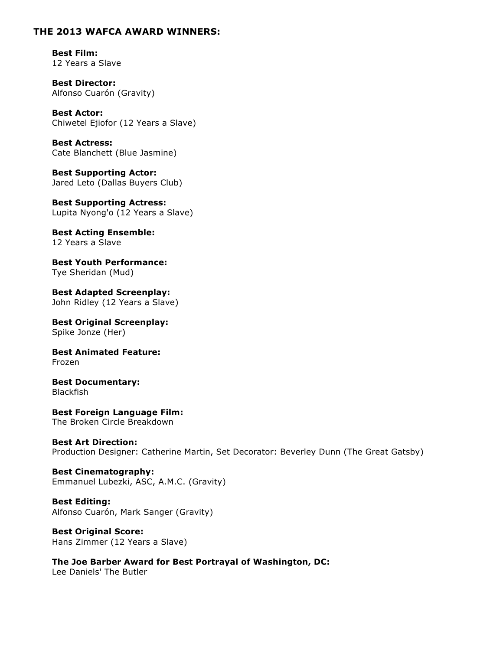### **THE 2013 WAFCA AWARD WINNERS:**

**Best Film:** 12 Years a Slave

**Best Director:** Alfonso Cuarón (Gravity)

**Best Actor:** Chiwetel Ejiofor (12 Years a Slave)

**Best Actress:** Cate Blanchett (Blue Jasmine)

**Best Supporting Actor:** Jared Leto (Dallas Buyers Club)

**Best Supporting Actress:** Lupita Nyong'o (12 Years a Slave)

**Best Acting Ensemble:** 12 Years a Slave

**Best Youth Performance:** Tye Sheridan (Mud)

**Best Adapted Screenplay:** John Ridley (12 Years a Slave)

**Best Original Screenplay:** Spike Jonze (Her)

**Best Animated Feature:** Frozen

**Best Documentary:** Blackfish

**Best Foreign Language Film:** The Broken Circle Breakdown

**Best Art Direction:** Production Designer: Catherine Martin, Set Decorator: Beverley Dunn (The Great Gatsby)

**Best Cinematography:** Emmanuel Lubezki, ASC, A.M.C. (Gravity)

**Best Editing:** Alfonso Cuarón, Mark Sanger (Gravity)

**Best Original Score:** Hans Zimmer (12 Years a Slave)

**The Joe Barber Award for Best Portrayal of Washington, DC:** Lee Daniels' The Butler